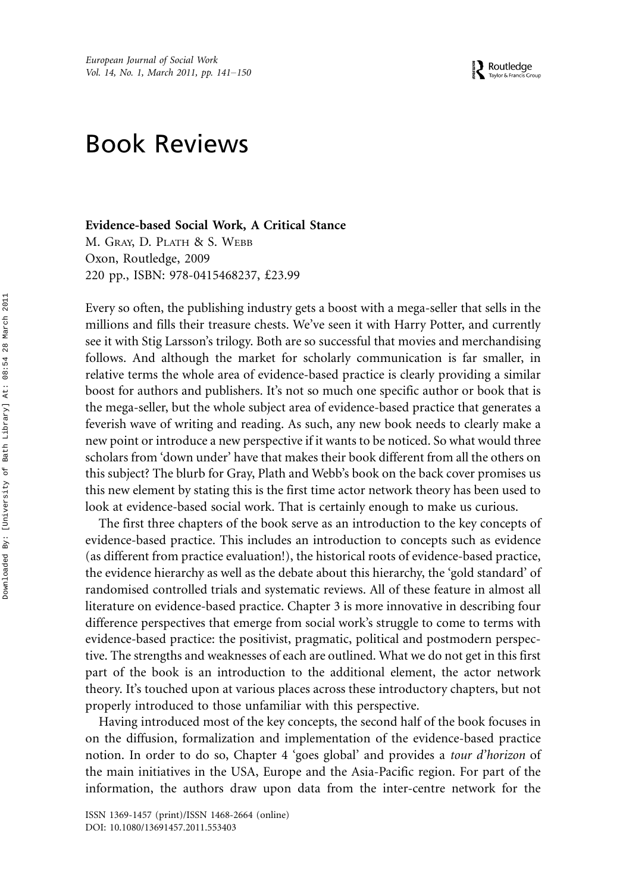## Book Reviews

## Evidence-based Social Work, A Critical Stance

M. GRAY, D. PLATH & S. WEBB Oxon, Routledge, 2009 220 pp., ISBN: 978-0415468237, £23.99

Every so often, the publishing industry gets a boost with a mega-seller that sells in the millions and fills their treasure chests. We've seen it with Harry Potter, and currently see it with Stig Larsson's trilogy. Both are so successful that movies and merchandising follows. And although the market for scholarly communication is far smaller, in relative terms the whole area of evidence-based practice is clearly providing a similar boost for authors and publishers. It's not so much one specific author or book that is the mega-seller, but the whole subject area of evidence-based practice that generates a feverish wave of writing and reading. As such, any new book needs to clearly make a new point or introduce a new perspective if it wants to be noticed. So what would three scholars from 'down under' have that makes their book different from all the others on this subject? The blurb for Gray, Plath and Webb's book on the back cover promises us this new element by stating this is the first time actor network theory has been used to look at evidence-based social work. That is certainly enough to make us curious.

The first three chapters of the book serve as an introduction to the key concepts of evidence-based practice. This includes an introduction to concepts such as evidence (as different from practice evaluation!), the historical roots of evidence-based practice, the evidence hierarchy as well as the debate about this hierarchy, the 'gold standard' of randomised controlled trials and systematic reviews. All of these feature in almost all literature on evidence-based practice. Chapter 3 is more innovative in describing four difference perspectives that emerge from social work's struggle to come to terms with evidence-based practice: the positivist, pragmatic, political and postmodern perspective. The strengths and weaknesses of each are outlined. What we do not get in this first part of the book is an introduction to the additional element, the actor network theory. It's touched upon at various places across these introductory chapters, but not properly introduced to those unfamiliar with this perspective.

Having introduced most of the key concepts, the second half of the book focuses in on the diffusion, formalization and implementation of the evidence-based practice notion. In order to do so, Chapter 4 'goes global' and provides a tour d'horizon of the main initiatives in the USA, Europe and the Asia-Pacific region. For part of the information, the authors draw upon data from the inter-centre network for the